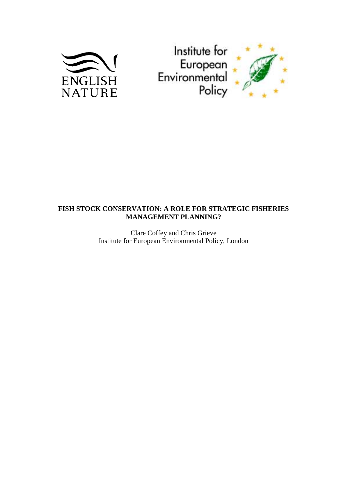



# **FISH STOCK CONSERVATION: A ROLE FOR STRATEGIC FISHERIES MANAGEMENT PLANNING?**

Clare Coffey and Chris Grieve Institute for European Environmental Policy, London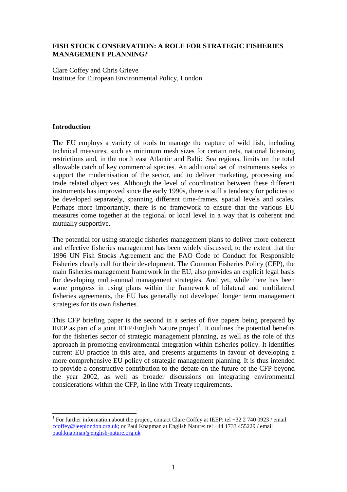### **FISH STOCK CONSERVATION: A ROLE FOR STRATEGIC FISHERIES MANAGEMENT PLANNING?**

Clare Coffey and Chris Grieve Institute for European Environmental Policy, London

### **Introduction**

The EU employs a variety of tools to manage the capture of wild fish, including technical measures, such as minimum mesh sizes for certain nets, national licensing restrictions and, in the north east Atlantic and Baltic Sea regions, limits on the total allowable catch of key commercial species. An additional set of instruments seeks to support the modernisation of the sector, and to deliver marketing, processing and trade related objectives. Although the level of coordination between these different instruments has improved since the early 1990s, there is still a tendency for policies to be developed separately, spanning different time-frames, spatial levels and scales. Perhaps more importantly, there is no framework to ensure that the various EU measures come together at the regional or local level in a way that is coherent and mutually supportive.

The potential for using strategic fisheries management plans to deliver more coherent and effective fisheries management has been widely discussed, to the extent that the 1996 UN Fish Stocks Agreement and the FAO Code of Conduct for Responsible Fisheries clearly call for their development. The Common Fisheries Policy (CFP), the main fisheries management framework in the EU, also provides an explicit legal basis for developing multi-annual management strategies. And yet, while there has been some progress in using plans within the framework of bilateral and multilateral fisheries agreements, the EU has generally not developed longer term management strategies for its own fisheries.

This CFP briefing paper is the second in a series of five papers being prepared by IEEP as part of a joint IEEP/English Nature project<sup>1</sup>. It outlines the potential benefits for the fisheries sector of strategic management planning, as well as the role of this approach in promoting environmental integration within fisheries policy. It identifies current EU practice in this area, and presents arguments in favour of developing a more comprehensive EU policy of strategic management planning. It is thus intended to provide a constructive contribution to the debate on the future of the CFP beyond the year 2002, as well as broader discussions on integrating environmental considerations within the CFP, in line with Treaty requirements.

 $\overline{a}$ <sup>1</sup> For further information about the project, contact Clare Coffey at IEEP: tel +32 2 740 0923 / email ccoffey@ieeplondon.org.uk; or Paul Knapman at English Nature: tel +44 1733 455229 / email paul.knapman@english-nature.org.uk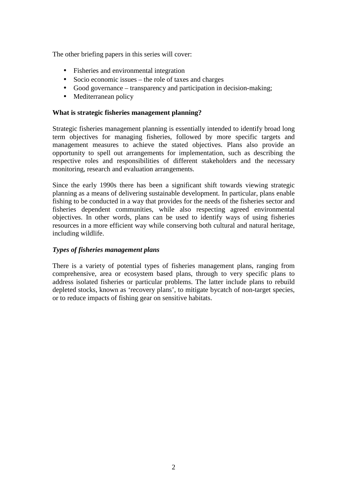The other briefing papers in this series will cover:

- Fisheries and environmental integration
- Socio economic issues the role of taxes and charges
- Good governance transparency and participation in decision-making;
- Mediterranean policy

### **What is strategic fisheries management planning?**

Strategic fisheries management planning is essentially intended to identify broad long term objectives for managing fisheries, followed by more specific targets and management measures to achieve the stated objectives. Plans also provide an opportunity to spell out arrangements for implementation, such as describing the respective roles and responsibilities of different stakeholders and the necessary monitoring, research and evaluation arrangements.

Since the early 1990s there has been a significant shift towards viewing strategic planning as a means of delivering sustainable development. In particular, plans enable fishing to be conducted in a way that provides for the needs of the fisheries sector and fisheries dependent communities, while also respecting agreed environmental objectives. In other words, plans can be used to identify ways of using fisheries resources in a more efficient way while conserving both cultural and natural heritage, including wildlife.

### *Types of fisheries management plans*

There is a variety of potential types of fisheries management plans, ranging from comprehensive, area or ecosystem based plans, through to very specific plans to address isolated fisheries or particular problems. The latter include plans to rebuild depleted stocks, known as 'recovery plans', to mitigate bycatch of non-target species, or to reduce impacts of fishing gear on sensitive habitats.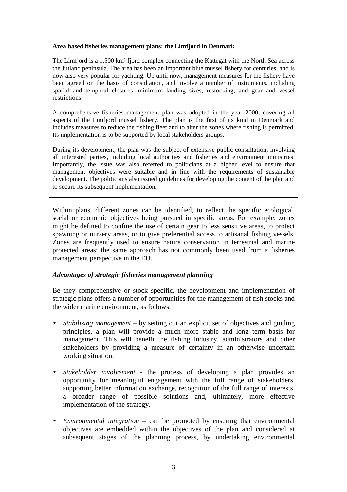#### **Area based fisheries management plans: the Limfjord in Denmark**

The Limfjord is a 1,500 km² fjord complex connecting the Kattegat with the North Sea across the Jutland peninsula. The area has been an important blue mussel fishery for centuries, and is now also very popular for yachting. Up until now, management measures for the fishery have been agreed on the basis of consultation, and involve a number of instruments, including spatial and temporal closures, minimum landing sizes, restocking, and gear and vessel restrictions.

A comprehensive fisheries management plan was adopted in the year 2000, covering all aspects of the Limfjord mussel fishery. The plan is the first of its kind in Denmark and includes measures to reduce the fishing fleet and to alter the zones where fishing is permitted. Its implementation is to be supported by local stakeholders groups.

During its development, the plan was the subject of extensive public consultation, involving all interested parties, including local authorities and fisheries and environment ministries. Importantly, the issue was also referred to politicians at a higher level to ensure that management objectives were suitable and in line with the requirements of sustainable development. The politicians also issued guidelines for developing the content of the plan and to secure its subsequent implementation.

Within plans, different zones can be identified, to reflect the specific ecological, social or economic objectives being pursued in specific areas. For example, zones might be defined to confine the use of certain gear to less sensitive areas, to protect spawning or nursery areas, or to give preferential access to artisanal fishing vessels. Zones are frequently used to ensure nature conservation in terrestrial and marine protected areas; the same approach has not commonly been used from a fisheries management perspective in the EU.

## *Advantages of strategic fisheries management planning*

Be they comprehensive or stock specific, the development and implementation of strategic plans offers a number of opportunities for the management of fish stocks and the wider marine environment, as follows.

- *Stabilising management* by setting out an explicit set of objectives and guiding principles, a plan will provide a much more stable and long term basis for management. This will benefit the fishing industry, administrators and other stakeholders by providing a measure of certainty in an otherwise uncertain working situation.
- *Stakeholder involvement*  the process of developing a plan provides an opportunity for meaningful engagement with the full range of stakeholders, supporting better information exchange, recognition of the full range of interests, a broader range of possible solutions and, ultimately, more effective implementation of the strategy.
- *Environmental integration* can be promoted by ensuring that environmental objectives are embedded within the objectives of the plan and considered at subsequent stages of the planning process, by undertaking environmental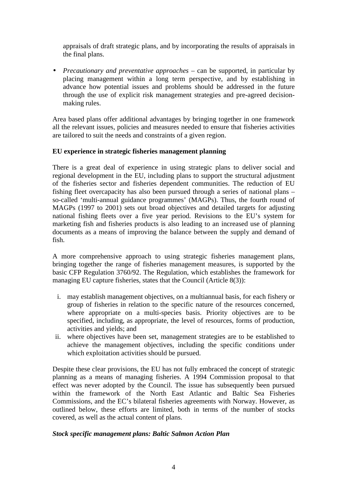appraisals of draft strategic plans, and by incorporating the results of appraisals in the final plans.

• *Precautionary and preventative approaches* – can be supported, in particular by placing management within a long term perspective, and by establishing in advance how potential issues and problems should be addressed in the future through the use of explicit risk management strategies and pre-agreed decisionmaking rules.

Area based plans offer additional advantages by bringing together in one framework all the relevant issues, policies and measures needed to ensure that fisheries activities are tailored to suit the needs and constraints of a given region.

### **EU experience in strategic fisheries management planning**

There is a great deal of experience in using strategic plans to deliver social and regional development in the EU, including plans to support the structural adjustment of the fisheries sector and fisheries dependent communities. The reduction of EU fishing fleet overcapacity has also been pursued through a series of national plans – so-called 'multi-annual guidance programmes' (MAGPs). Thus, the fourth round of MAGPs (1997 to 2001) sets out broad objectives and detailed targets for adjusting national fishing fleets over a five year period. Revisions to the EU's system for marketing fish and fisheries products is also leading to an increased use of planning documents as a means of improving the balance between the supply and demand of fish.

A more comprehensive approach to using strategic fisheries management plans, bringing together the range of fisheries management measures, is supported by the basic CFP Regulation 3760/92. The Regulation, which establishes the framework for managing EU capture fisheries, states that the Council (Article 8(3)):

- i. may establish management objectives, on a multiannual basis, for each fishery or group of fisheries in relation to the specific nature of the resources concerned, where appropriate on a multi-species basis. Priority objectives are to be specified, including, as appropriate, the level of resources, forms of production, activities and yields; and
- ii. where objectives have been set, management strategies are to be established to achieve the management objectives, including the specific conditions under which exploitation activities should be pursued.

Despite these clear provisions, the EU has not fully embraced the concept of strategic planning as a means of managing fisheries. A 1994 Commission proposal to that effect was never adopted by the Council. The issue has subsequently been pursued within the framework of the North East Atlantic and Baltic Sea Fisheries Commissions, and the EC's bilateral fisheries agreements with Norway. However, as outlined below, these efforts are limited, both in terms of the number of stocks covered, as well as the actual content of plans.

#### *Stock specific management plans: Baltic Salmon Action Plan*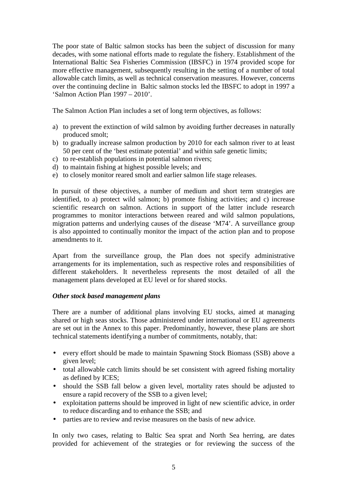The poor state of Baltic salmon stocks has been the subject of discussion for many decades, with some national efforts made to regulate the fishery. Establishment of the International Baltic Sea Fisheries Commission (IBSFC) in 1974 provided scope for more effective management, subsequently resulting in the setting of a number of total allowable catch limits, as well as technical conservation measures. However, concerns over the continuing decline in Baltic salmon stocks led the IBSFC to adopt in 1997 a 'Salmon Action Plan 1997 – 2010'.

The Salmon Action Plan includes a set of long term objectives, as follows:

- a) to prevent the extinction of wild salmon by avoiding further decreases in naturally produced smolt;
- b) to gradually increase salmon production by 2010 for each salmon river to at least 50 per cent of the 'best estimate potential' and within safe genetic limits;
- c) to re-establish populations in potential salmon rivers;
- d) to maintain fishing at highest possible levels; and
- e) to closely monitor reared smolt and earlier salmon life stage releases.

In pursuit of these objectives, a number of medium and short term strategies are identified, to a) protect wild salmon; b) promote fishing activities; and c) increase scientific research on salmon. Actions in support of the latter include research programmes to monitor interactions between reared and wild salmon populations, migration patterns and underlying causes of the disease 'M74'. A surveillance group is also appointed to continually monitor the impact of the action plan and to propose amendments to it.

Apart from the surveillance group, the Plan does not specify administrative arrangements for its implementation, such as respective roles and responsibilities of different stakeholders. It nevertheless represents the most detailed of all the management plans developed at EU level or for shared stocks.

#### *Other stock based management plans*

There are a number of additional plans involving EU stocks, aimed at managing shared or high seas stocks. Those administered under international or EU agreements are set out in the Annex to this paper. Predominantly, however, these plans are short technical statements identifying a number of commitments, notably, that:

- every effort should be made to maintain Spawning Stock Biomass (SSB) above a given level;
- total allowable catch limits should be set consistent with agreed fishing mortality as defined by ICES;
- should the SSB fall below a given level, mortality rates should be adjusted to ensure a rapid recovery of the SSB to a given level;
- exploitation patterns should be improved in light of new scientific advice, in order to reduce discarding and to enhance the SSB; and
- parties are to review and revise measures on the basis of new advice.

In only two cases, relating to Baltic Sea sprat and North Sea herring, are dates provided for achievement of the strategies or for reviewing the success of the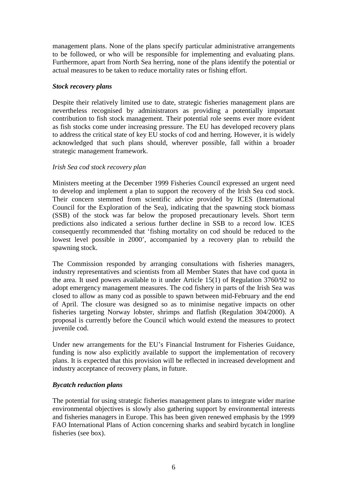management plans. None of the plans specify particular administrative arrangements to be followed, or who will be responsible for implementing and evaluating plans. Furthermore, apart from North Sea herring, none of the plans identify the potential or actual measures to be taken to reduce mortality rates or fishing effort.

### *Stock recovery plans*

Despite their relatively limited use to date, strategic fisheries management plans are nevertheless recognised by administrators as providing a potentially important contribution to fish stock management. Their potential role seems ever more evident as fish stocks come under increasing pressure. The EU has developed recovery plans to address the critical state of key EU stocks of cod and herring. However, it is widely acknowledged that such plans should, wherever possible, fall within a broader strategic management framework.

### *Irish Sea cod stock recovery plan*

Ministers meeting at the December 1999 Fisheries Council expressed an urgent need to develop and implement a plan to support the recovery of the Irish Sea cod stock. Their concern stemmed from scientific advice provided by ICES (International Council for the Exploration of the Sea), indicating that the spawning stock biomass (SSB) of the stock was far below the proposed precautionary levels. Short term predictions also indicated a serious further decline in SSB to a record low. ICES consequently recommended that 'fishing mortality on cod should be reduced to the lowest level possible in 2000', accompanied by a recovery plan to rebuild the spawning stock.

The Commission responded by arranging consultations with fisheries managers, industry representatives and scientists from all Member States that have cod quota in the area. It used powers available to it under Article 15(1) of Regulation 3760/92 to adopt emergency management measures. The cod fishery in parts of the Irish Sea was closed to allow as many cod as possible to spawn between mid-February and the end of April. The closure was designed so as to minimise negative impacts on other fisheries targeting Norway lobster, shrimps and flatfish (Regulation 304/2000). A proposal is currently before the Council which would extend the measures to protect juvenile cod.

Under new arrangements for the EU's Financial Instrument for Fisheries Guidance, funding is now also explicitly available to support the implementation of recovery plans. It is expected that this provision will be reflected in increased development and industry acceptance of recovery plans, in future.

## *Bycatch reduction plans*

The potential for using strategic fisheries management plans to integrate wider marine environmental objectives is slowly also gathering support by environmental interests and fisheries managers in Europe. This has been given renewed emphasis by the 1999 FAO International Plans of Action concerning sharks and seabird bycatch in longline fisheries (see box).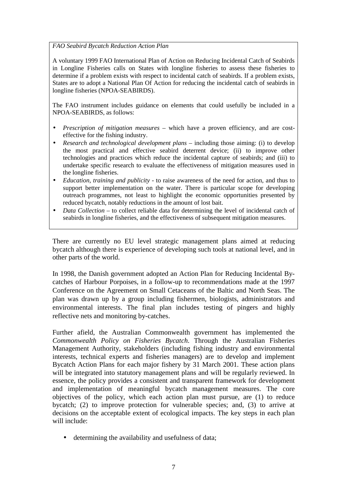*FAO Seabird Bycatch Reduction Action Plan*

A voluntary 1999 FAO International Plan of Action on Reducing Incidental Catch of Seabirds in Longline Fisheries calls on States with longline fisheries to assess these fisheries to determine if a problem exists with respect to incidental catch of seabirds. If a problem exists, States are to adopt a National Plan Of Action for reducing the incidental catch of seabirds in longline fisheries (NPOA-SEABIRDS).

The FAO instrument includes guidance on elements that could usefully be included in a NPOA-SEABIRDS, as follows:

- *Prescription of mitigation measures* which have a proven efficiency, and are costeffective for the fishing industry.
- *Research and technological development plans* including those aiming: (i) to develop the most practical and effective seabird deterrent device; (ii) to improve other technologies and practices which reduce the incidental capture of seabirds; and (iii) to undertake specific research to evaluate the effectiveness of mitigation measures used in the longline fisheries.
- *Education, training and publicity* to raise awareness of the need for action, and thus to support better implementation on the water. There is particular scope for developing outreach programmes, not least to highlight the economic opportunities presented by reduced bycatch, notably reductions in the amount of lost bait.
- *Data Collection* to collect reliable data for determining the level of incidental catch of seabirds in longline fisheries, and the effectiveness of subsequent mitigation measures.

There are currently no EU level strategic management plans aimed at reducing bycatch although there is experience of developing such tools at national level, and in other parts of the world.

In 1998, the Danish government adopted an Action Plan for Reducing Incidental Bycatches of Harbour Porpoises, in a follow-up to recommendations made at the 1997 Conference on the Agreement on Small Cetaceans of the Baltic and North Seas. The plan was drawn up by a group including fishermen, biologists, administrators and environmental interests. The final plan includes testing of pingers and highly reflective nets and monitoring by-catches.

Further afield, the Australian Commonwealth government has implemented the *Commonwealth Policy on Fisheries Bycatch*. Through the Australian Fisheries Management Authority, stakeholders (including fishing industry and environmental interests, technical experts and fisheries managers) are to develop and implement Bycatch Action Plans for each major fishery by 31 March 2001. These action plans will be integrated into statutory management plans and will be regularly reviewed. In essence, the policy provides a consistent and transparent framework for development and implementation of meaningful bycatch management measures. The core objectives of the policy, which each action plan must pursue, are (1) to reduce bycatch; (2) to improve protection for vulnerable species; and, (3) to arrive at decisions on the acceptable extent of ecological impacts. The key steps in each plan will include:

• determining the availability and usefulness of data;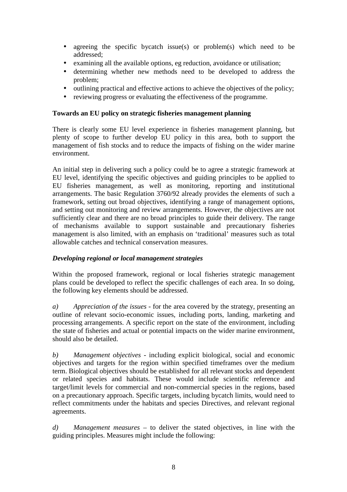- agreeing the specific bycatch issue(s) or problem(s) which need to be addressed;
- examining all the available options, eg reduction, avoidance or utilisation;
- determining whether new methods need to be developed to address the problem;
- outlining practical and effective actions to achieve the objectives of the policy;
- reviewing progress or evaluating the effectiveness of the programme.

### **Towards an EU policy on strategic fisheries management planning**

There is clearly some EU level experience in fisheries management planning, but plenty of scope to further develop EU policy in this area, both to support the management of fish stocks and to reduce the impacts of fishing on the wider marine environment.

An initial step in delivering such a policy could be to agree a strategic framework at EU level, identifying the specific objectives and guiding principles to be applied to EU fisheries management, as well as monitoring, reporting and institutional arrangements. The basic Regulation 3760/92 already provides the elements of such a framework, setting out broad objectives, identifying a range of management options, and setting out monitoring and review arrangements. However, the objectives are not sufficiently clear and there are no broad principles to guide their delivery. The range of mechanisms available to support sustainable and precautionary fisheries management is also limited, with an emphasis on 'traditional' measures such as total allowable catches and technical conservation measures.

## *Developing regional or local management strategies*

Within the proposed framework, regional or local fisheries strategic management plans could be developed to reflect the specific challenges of each area. In so doing, the following key elements should be addressed.

*a) Appreciation of the issues -* for the area covered by the strategy, presenting an outline of relevant socio-economic issues, including ports, landing, marketing and processing arrangements. A specific report on the state of the environment, including the state of fisheries and actual or potential impacts on the wider marine environment, should also be detailed.

*b) Management objectives -* including explicit biological, social and economic objectives and targets for the region within specified timeframes over the medium term. Biological objectives should be established for all relevant stocks and dependent or related species and habitats. These would include scientific reference and target/limit levels for commercial and non-commercial species in the regions, based on a precautionary approach. Specific targets, including bycatch limits, would need to reflect commitments under the habitats and species Directives, and relevant regional agreements.

*d) Management measures* – to deliver the stated objectives, in line with the guiding principles. Measures might include the following: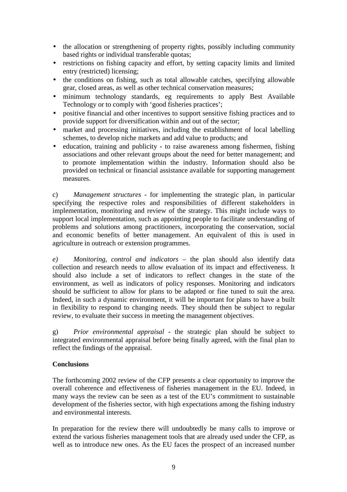- the allocation or strengthening of property rights, possibly including community based rights or individual transferable quotas;
- restrictions on fishing capacity and effort, by setting capacity limits and limited entry (restricted) licensing;
- the conditions on fishing, such as total allowable catches, specifying allowable gear, closed areas, as well as other technical conservation measures;
- minimum technology standards, eg requirements to apply Best Available Technology or to comply with 'good fisheries practices';
- positive financial and other incentives to support sensitive fishing practices and to provide support for diversification within and out of the sector;
- market and processing initiatives, including the establishment of local labelling schemes, to develop niche markets and add value to products; and
- education, training and publicity to raise awareness among fishermen, fishing associations and other relevant groups about the need for better management; and to promote implementation within the industry. Information should also be provided on technical or financial assistance available for supporting management measures.

c) *Management structures* - for implementing the strategic plan, in particular specifying the respective roles and responsibilities of different stakeholders in implementation, monitoring and review of the strategy. This might include ways to support local implementation, such as appointing people to facilitate understanding of problems and solutions among practitioners, incorporating the conservation, social and economic benefits of better management. An equivalent of this is used in agriculture in outreach or extension programmes.

*e) Monitoring, control and indicators –* the plan should also identify data collection and research needs to allow evaluation of its impact and effectiveness. It should also include a set of indicators to reflect changes in the state of the environment, as well as indicators of policy responses. Monitoring and indicators should be sufficient to allow for plans to be adapted or fine tuned to suit the area. Indeed, in such a dynamic environment, it will be important for plans to have a built in flexibility to respond to changing needs. They should then be subject to regular review, to evaluate their success in meeting the management objectives.

g) *Prior environmental appraisal* - the strategic plan should be subject to integrated environmental appraisal before being finally agreed, with the final plan to reflect the findings of the appraisal.

## **Conclusions**

The forthcoming 2002 review of the CFP presents a clear opportunity to improve the overall coherence and effectiveness of fisheries management in the EU. Indeed, in many ways the review can be seen as a test of the EU's commitment to sustainable development of the fisheries sector, with high expectations among the fishing industry and environmental interests.

In preparation for the review there will undoubtedly be many calls to improve or extend the various fisheries management tools that are already used under the CFP, as well as to introduce new ones. As the EU faces the prospect of an increased number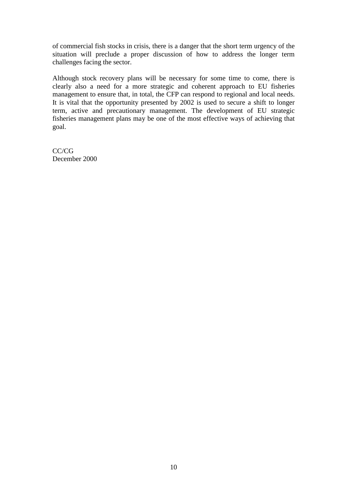of commercial fish stocks in crisis, there is a danger that the short term urgency of the situation will preclude a proper discussion of how to address the longer term challenges facing the sector.

Although stock recovery plans will be necessary for some time to come, there is clearly also a need for a more strategic and coherent approach to EU fisheries management to ensure that, in total, the CFP can respond to regional and local needs. It is vital that the opportunity presented by 2002 is used to secure a shift to longer term, active and precautionary management. The development of EU strategic fisheries management plans may be one of the most effective ways of achieving that goal.

CC/CG December 2000